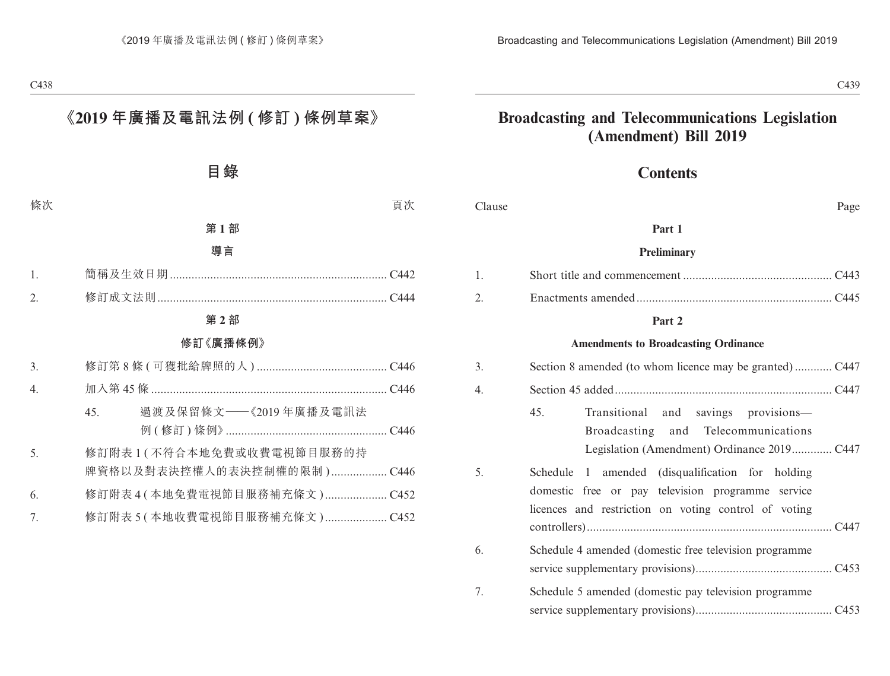# **Broadcasting and Telecommunications Legislation (Amendment) Bill 2019**

# **Contents**

| Clause | Page |
|--------|------|
|--------|------|

#### **Part 1**

#### **Preliminary**

#### **Part 2**

#### **Amendments to Broadcasting Ordinance**

| 3. |                                                                                                                                                               |
|----|---------------------------------------------------------------------------------------------------------------------------------------------------------------|
| 4. |                                                                                                                                                               |
|    | 45.<br>Transitional and savings provisions-<br>Broadcasting and Telecommunications                                                                            |
| 5. | Schedule 1 amended (disqualification for holding<br>domestic free or pay television programme service<br>licences and restriction on voting control of voting |
| 6. | Schedule 4 amended (domestic free television programme                                                                                                        |
| 7. | Schedule 5 amended (domestic pay television programme)                                                                                                        |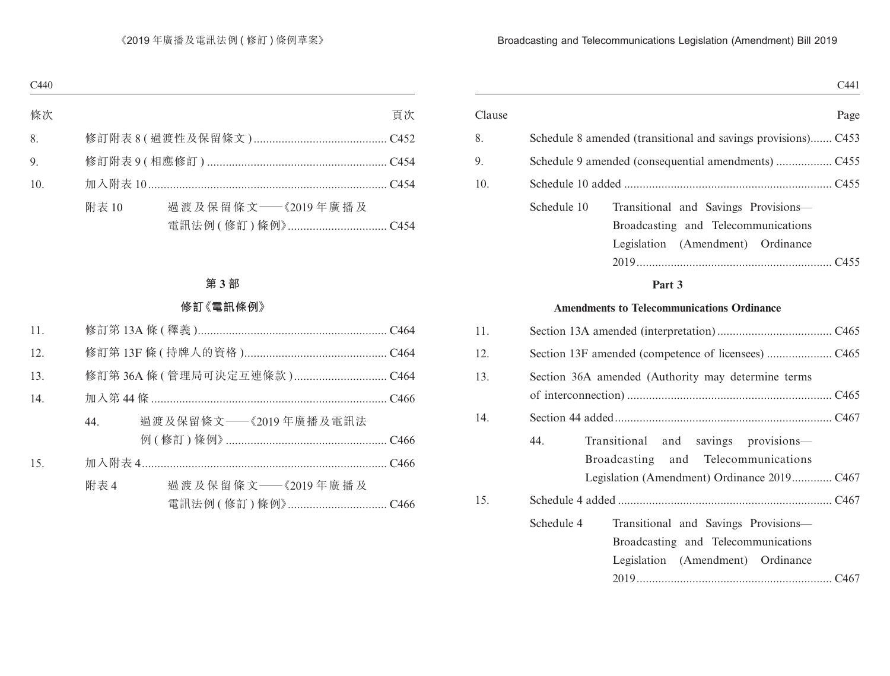| Clause |                                                                                                                                    |
|--------|------------------------------------------------------------------------------------------------------------------------------------|
| 8.     | Schedule 8 amended (transitional and savings provisions) C453                                                                      |
| 9.     |                                                                                                                                    |
| 10.    |                                                                                                                                    |
|        | Schedule 10<br>Transitional and Savings Provisions-<br>Broadcasting and Telecommunications<br>Legislation (Amendment)<br>Ordinance |
|        |                                                                                                                                    |
|        | $\mathbf{D}$                                                                                                                       |

### **Part 3**

# **Amendments to Telecommunications Ordinance**

| 11. |            |                                                                                                                  |
|-----|------------|------------------------------------------------------------------------------------------------------------------|
| 12. |            |                                                                                                                  |
| 13. |            | Section 36A amended (Authority may determine terms                                                               |
| 14. |            |                                                                                                                  |
|     | 44.        | Transitional and savings provisions—<br>Broadcasting and Telecommunications                                      |
| 15. |            |                                                                                                                  |
|     | Schedule 4 | Transitional and Savings Provisions-<br>Broadcasting and Telecommunications<br>Legislation (Amendment) Ordinance |
|     |            |                                                                                                                  |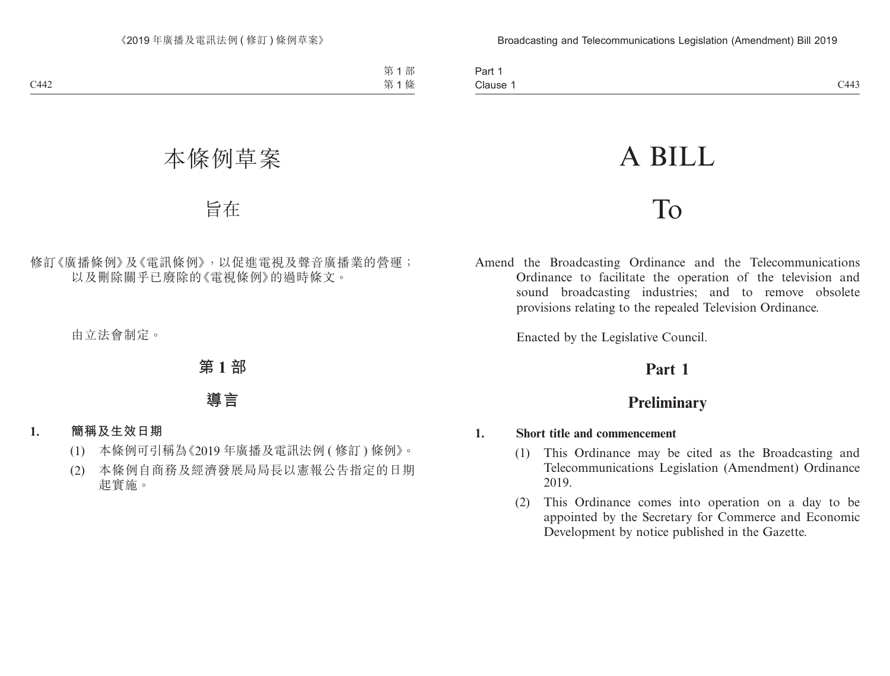| Part.    |      |
|----------|------|
| Clause 1 | C443 |

# A BILL

# To

Amend the Broadcasting Ordinance and the Telecommunications Ordinance to facilitate the operation of the television and sound broadcasting industries; and to remove obsolete provisions relating to the repealed Television Ordinance.

Enacted by the Legislative Council.

# **Part 1**

# **Preliminary**

## **1. Short title and commencement**

- (1) This Ordinance may be cited as the Broadcasting and Telecommunications Legislation (Amendment) Ordinance 2019.
- (2) This Ordinance comes into operation on a day to be appointed by the Secretary for Commerce and Economic Development by notice published in the Gazette.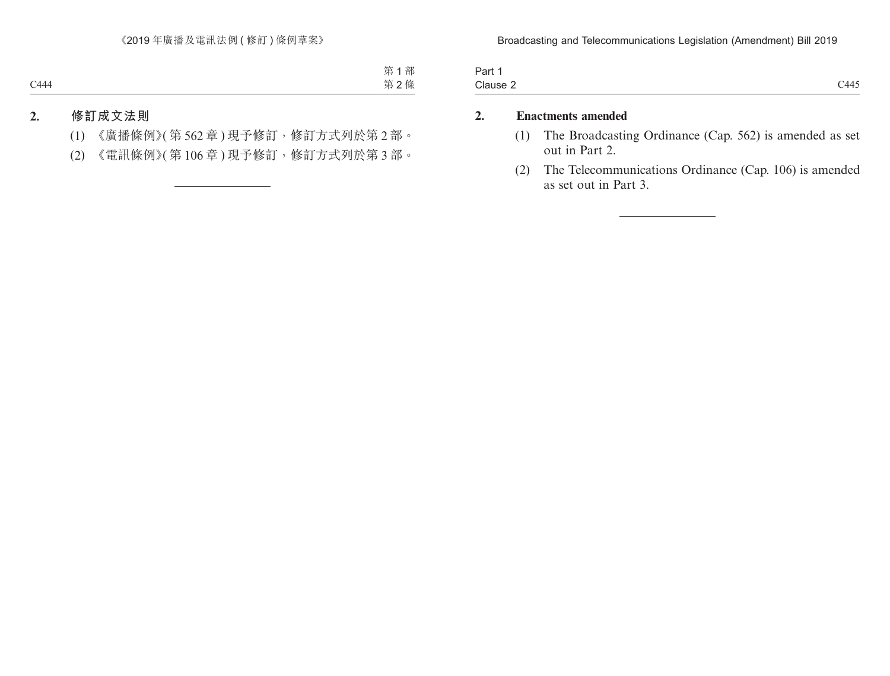| Part     |      |
|----------|------|
| Clause 2 | C445 |

# **2. Enactments amended**

- (1) The Broadcasting Ordinance (Cap. 562) is amended as set out in Part 2.
- (2) The Telecommunications Ordinance (Cap. 106) is amended as set out in Part 3.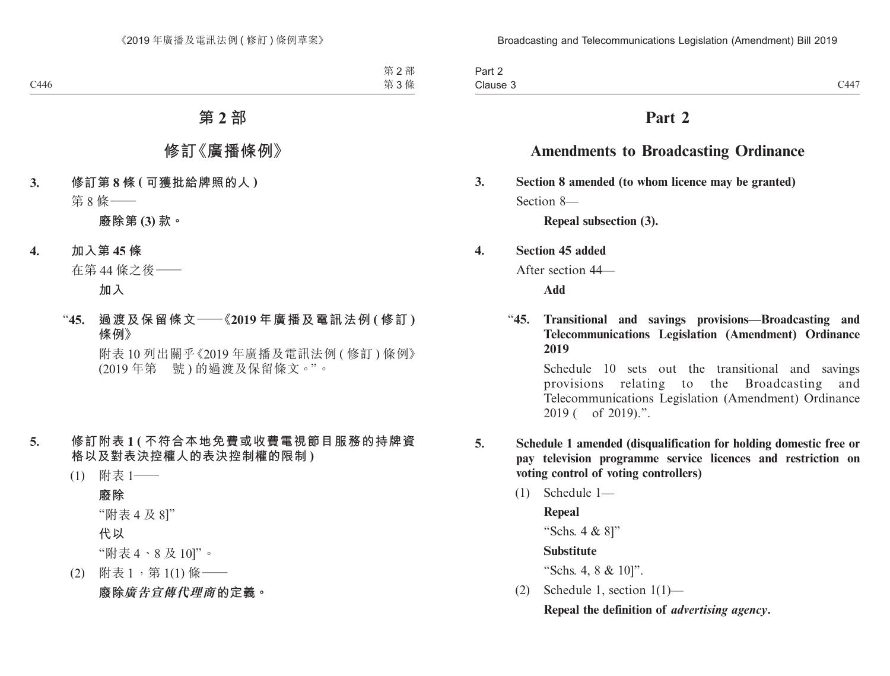| $\overline{\phantom{0}}$<br>Part 2 |      |
|------------------------------------|------|
| Clause 3                           | C447 |

# **Part 2**

# **Amendments to Broadcasting Ordinance**

**3. Section 8 amended (to whom licence may be granted)** Section 8—

**Repeal subsection (3).**

#### **4. Section 45 added**

After section 44—

**Add**

"**45. Transitional and savings provisions—Broadcasting and Telecommunications Legislation (Amendment) Ordinance 2019**

Schedule 10 sets out the transitional and savings provisions relating to the Broadcasting and Telecommunications Legislation (Amendment) Ordinance 2019 ( of 2019).".

- **5. Schedule 1 amended (disqualification for holding domestic free or pay television programme service licences and restriction on voting control of voting controllers)**
	- (1) Schedule 1—
	- **Repeal** "Schs. 4 & 8]" **Substitute** "Schs. 4, 8 & 10]". (2) Schedule 1, section 1(1)—

**Repeal the definition of** *advertising agency***.**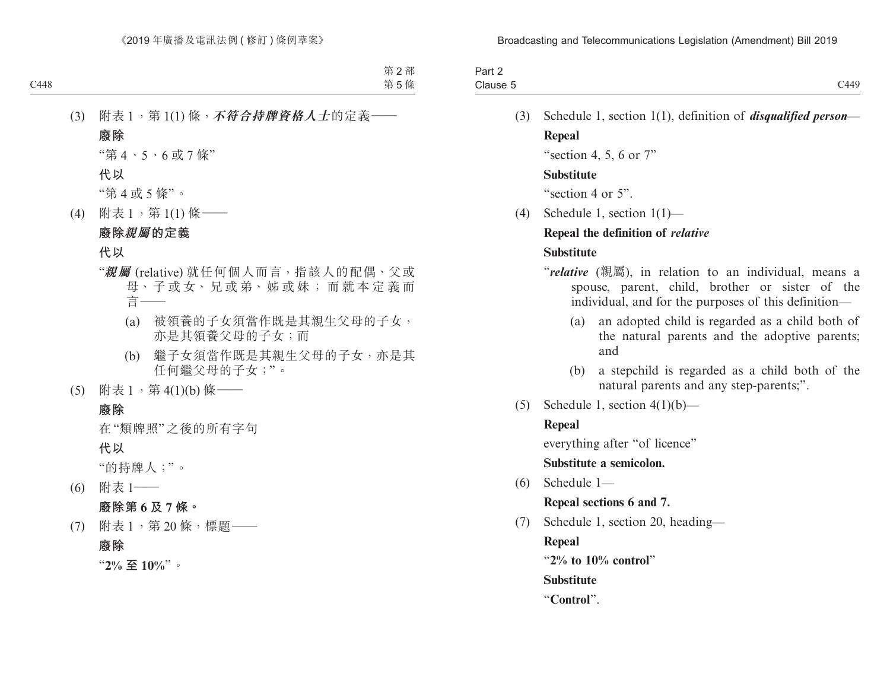| $\sim$ $\sim$<br>Part 2 |      |
|-------------------------|------|
| Clause 5                | C449 |

(3) Schedule 1, section 1(1), definition of *disqualified person*— **Repeal**

"section 4, 5, 6 or 7"

#### **Substitute**

"section 4 or 5".

(4) Schedule 1, section 1(1)—

### **Repeal the definition of** *relative*

### **Substitute**

- "*relative* (親屬), in relation to an individual, means a spouse, parent, child, brother or sister of the individual, and for the purposes of this definition—
	- (a) an adopted child is regarded as a child both of the natural parents and the adoptive parents; and
	- (b) a stepchild is regarded as a child both of the natural parents and any step-parents;".
- (5) Schedule 1, section  $4(1)(b)$ —

## **Repeal**

everything after "of licence"

#### **Substitute a semicolon.**

(6) Schedule 1—

**Repeal sections 6 and 7.**

(7) Schedule 1, section 20, heading—

**Repeal**

"**2% to 10% control**"

**Substitute**

"**Control**".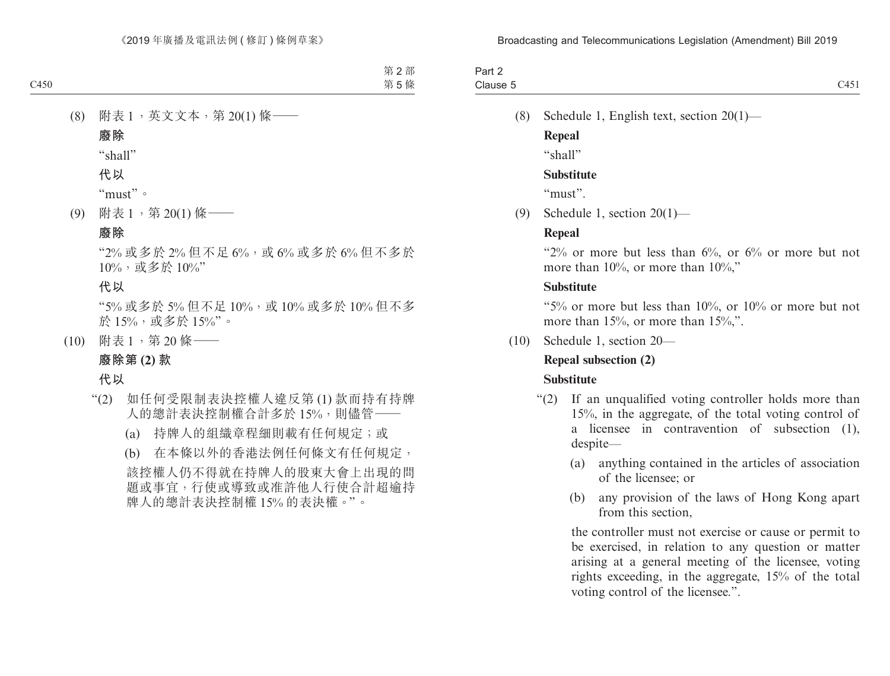| $\overline{\phantom{0}}$<br>Part ∠ |                          |
|------------------------------------|--------------------------|
| Clause 5                           | $\sim$ $\sim$<br>U 1 U 2 |

(8) Schedule 1, English text, section 20(1)—

**Repeal** "shall"

# **Substitute**

"must".

(9) Schedule 1, section 20(1)—

# **Repeal**

" $2\%$  or more but less than  $6\%$ , or  $6\%$  or more but not more than 10%, or more than 10%,"

# **Substitute**

"5% or more but less than 10%, or 10% or more but not more than 15%, or more than 15%,".

(10) Schedule 1, section 20—

# **Repeal subsection (2)**

# **Substitute**

- "(2) If an unqualified voting controller holds more than 15%, in the aggregate, of the total voting control of a licensee in contravention of subsection (1), despite—
	- (a) anything contained in the articles of association of the licensee; or
	- (b) any provision of the laws of Hong Kong apart from this section,

the controller must not exercise or cause or permit to be exercised, in relation to any question or matter arising at a general meeting of the licensee, voting rights exceeding, in the aggregate, 15% of the total voting control of the licensee.".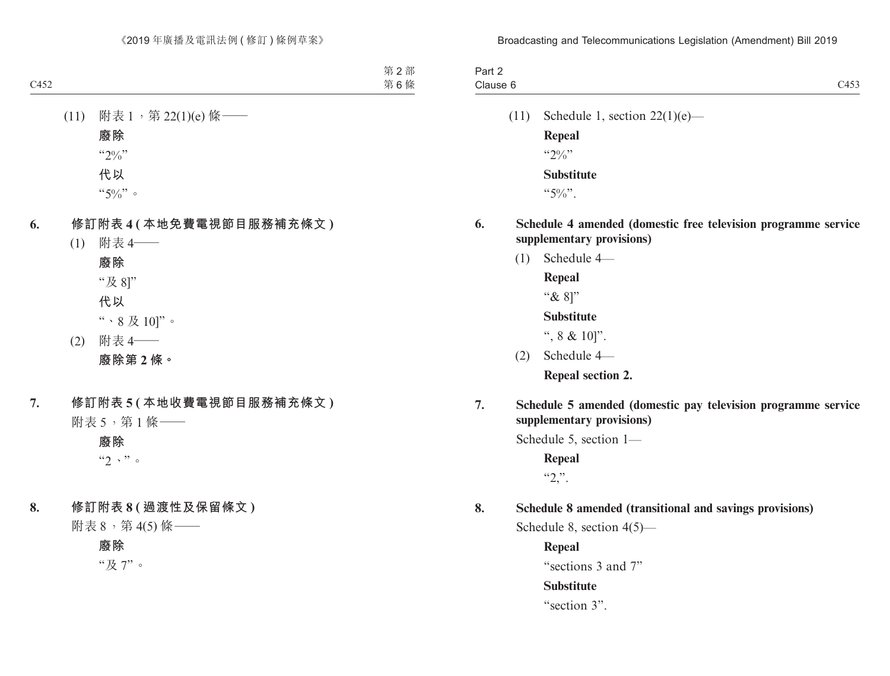| Part 2   |                             |
|----------|-----------------------------|
| Clause 6 | $\sim$ $\sim$ $\sim$<br>ربه |

(11) Schedule 1, section  $22(1)(e)$ —

**Repeal**  $``20/$ " **Substitute**

 $``5\%"$ .

- **6. Schedule 4 amended (domestic free television programme service supplementary provisions)**
	- (1) Schedule 4—

**Repeal**

"& 8]"

**Substitute**

- ", 8 & 10]".
- (2) Schedule 4—

**Repeal section 2.**

**7. Schedule 5 amended (domestic pay television programme service supplementary provisions)**

Schedule 5, section 1—

**Repeal**  $"2."$ .

**8. Schedule 8 amended (transitional and savings provisions)**

Schedule 8, section 4(5)—

**Repeal** "sections 3 and 7" **Substitute** "section 3".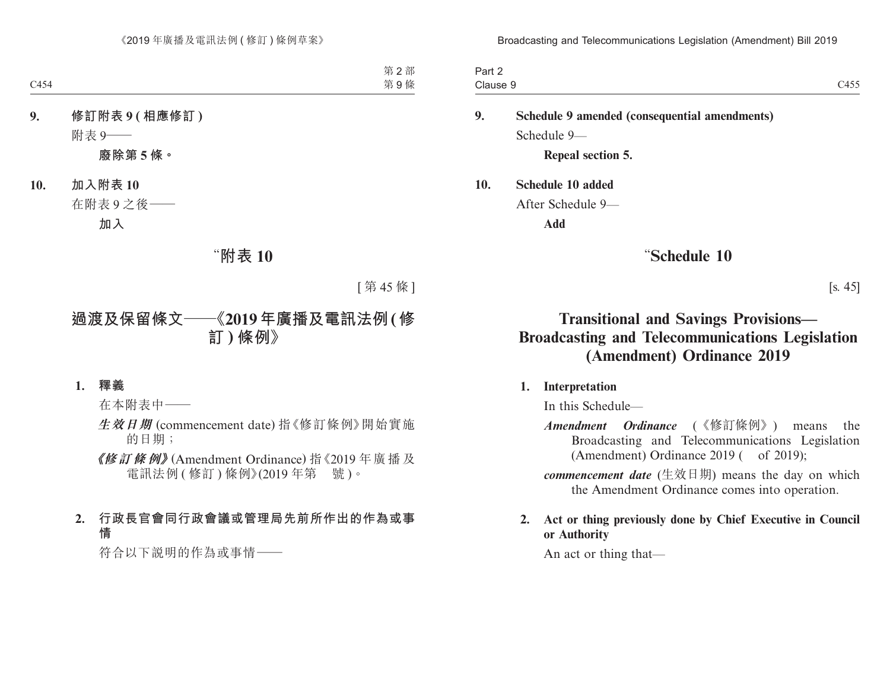| Part 2   |                                            |
|----------|--------------------------------------------|
| Clause 9 | $\sim$ $\sim$ $\sim$<br>$4^{\sim}$<br>しせりり |

**9. Schedule 9 amended (consequential amendments)** Schedule 9—

**Repeal section 5.**

**10. Schedule 10 added**

After Schedule 9—

**Add**

# "**Schedule 10**

[s. 45]

# **Transitional and Savings Provisions— Broadcasting and Telecommunications Legislation (Amendment) Ordinance 2019**

## **1. Interpretation**

In this Schedule—

*Amendment Ordinance* (《修訂條例》) means the Broadcasting and Telecommunications Legislation (Amendment) Ordinance  $2019$  ( of  $2019$ );

*commencement date* (生效日期) means the day on which the Amendment Ordinance comes into operation.

## **2. Act or thing previously done by Chief Executive in Council or Authority**

An act or thing that—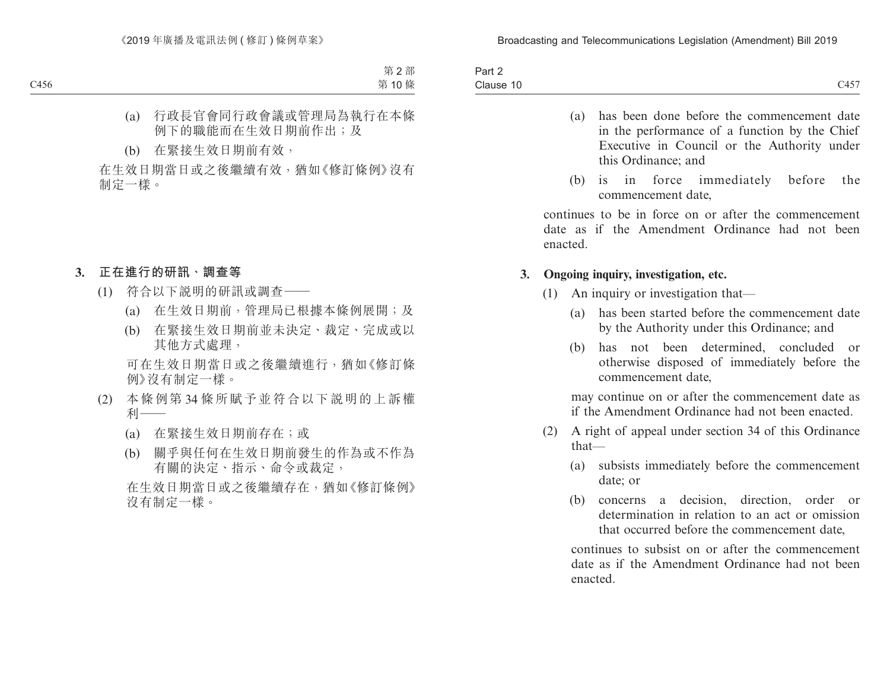| $\overline{\phantom{a}}$<br>Part 2 |      |
|------------------------------------|------|
| Clause 10                          | C457 |

- (a) has been done before the commencement date in the performance of a function by the Chief Executive in Council or the Authority under this Ordinance; and
- (b) is in force immediately before the commencement date,

continues to be in force on or after the commencement date as if the Amendment Ordinance had not been enacted.

#### **3. Ongoing inquiry, investigation, etc.**

- (1) An inquiry or investigation that—
	- (a) has been started before the commencement date by the Authority under this Ordinance; and
	- (b) has not been determined, concluded or otherwise disposed of immediately before the commencement date,

may continue on or after the commencement date as if the Amendment Ordinance had not been enacted.

- (2) A right of appeal under section 34 of this Ordinance that—
	- (a) subsists immediately before the commencement date; or
	- (b) concerns a decision, direction, order or determination in relation to an act or omission that occurred before the commencement date,

continues to subsist on or after the commencement date as if the Amendment Ordinance had not been enacted.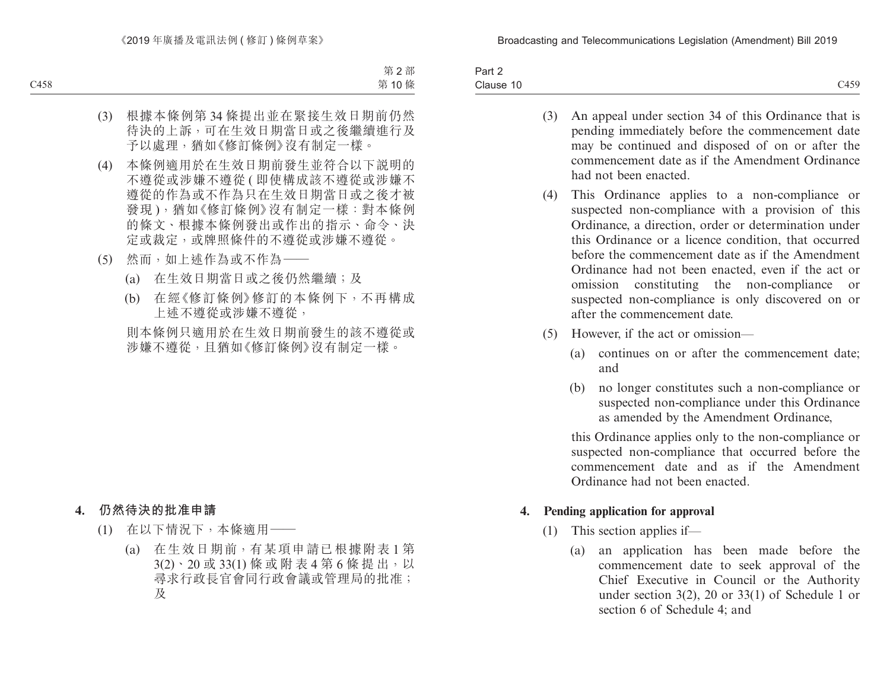| Part 2    |      |
|-----------|------|
| Clause 10 | C459 |

- (3) An appeal under section 34 of this Ordinance that is pending immediately before the commencement date may be continued and disposed of on or after the commencement date as if the Amendment Ordinance had not been enacted.
- (4) This Ordinance applies to a non-compliance or suspected non-compliance with a provision of this Ordinance, a direction, order or determination under this Ordinance or a licence condition, that occurred before the commencement date as if the Amendment Ordinance had not been enacted, even if the act or omission constituting the non-compliance or suspected non-compliance is only discovered on or after the commencement date.
- (5) However, if the act or omission—
	- (a) continues on or after the commencement date; and
	- (b) no longer constitutes such a non-compliance or suspected non-compliance under this Ordinance as amended by the Amendment Ordinance,

this Ordinance applies only to the non-compliance or suspected non-compliance that occurred before the commencement date and as if the Amendment Ordinance had not been enacted.

## **4. Pending application for approval**

- (1) This section applies if—
	- (a) an application has been made before the commencement date to seek approval of the Chief Executive in Council or the Authority under section 3(2), 20 or 33(1) of Schedule 1 or section 6 of Schedule 4; and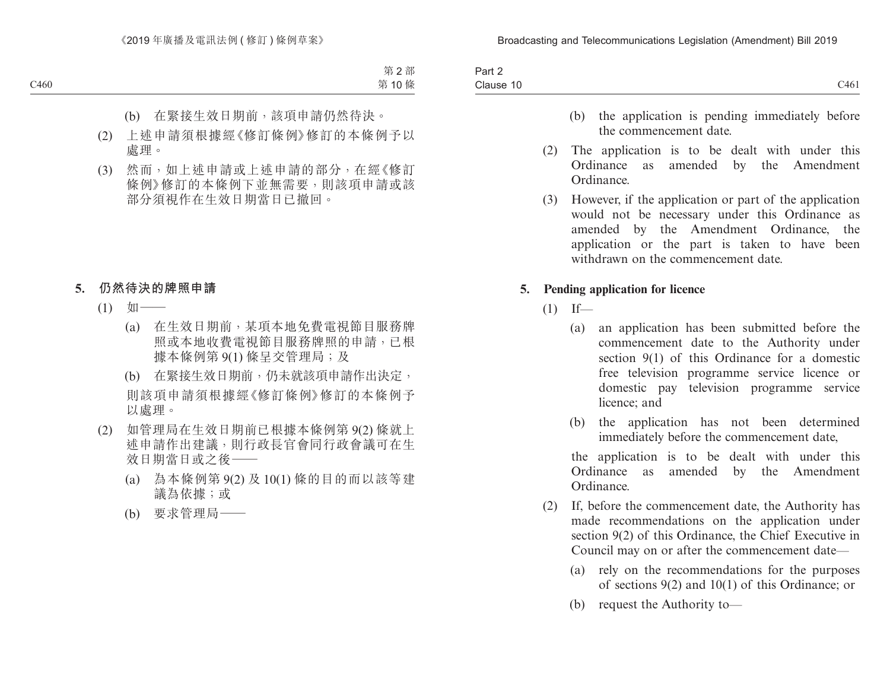| <b>Fail</b>         |      |
|---------------------|------|
| $\sim$<br>Clause 10 | C461 |

- (b) the application is pending immediately before the commencement date.
- (2) The application is to be dealt with under this Ordinance as amended by the Amendment Ordinance.
- (3) However, if the application or part of the application would not be necessary under this Ordinance as amended by the Amendment Ordinance, the application or the part is taken to have been withdrawn on the commencement date.

#### **5. Pending application for licence**

- $(1)$  If—
	- (a) an application has been submitted before the commencement date to the Authority under section 9(1) of this Ordinance for a domestic free television programme service licence or domestic pay television programme service licence; and
	- (b) the application has not been determined immediately before the commencement date,

the application is to be dealt with under this Ordinance as amended by the Amendment Ordinance.

- (2) If, before the commencement date, the Authority has made recommendations on the application under section 9(2) of this Ordinance, the Chief Executive in Council may on or after the commencement date—
	- (a) rely on the recommendations for the purposes of sections 9(2) and 10(1) of this Ordinance; or
	- (b) request the Authority to—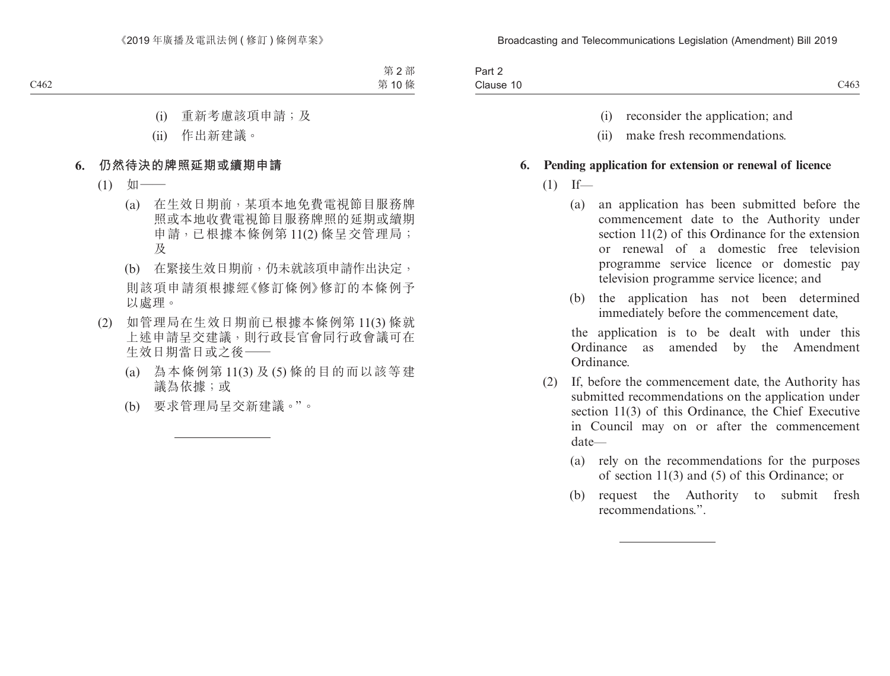| $\sim$ $\sim$<br>$\sim$<br>Part 2 |              |
|-----------------------------------|--------------|
| Clause<br>-10<br>--------         | 0100<br>C463 |

- (i) reconsider the application; and
- (ii) make fresh recommendations.

#### **6. Pending application for extension or renewal of licence**

- $(1)$  If—
	- (a) an application has been submitted before the commencement date to the Authority under section 11(2) of this Ordinance for the extension or renewal of a domestic free television programme service licence or domestic pay television programme service licence; and
	- (b) the application has not been determined immediately before the commencement date,

the application is to be dealt with under this Ordinance as amended by the Amendment Ordinance.

- (2) If, before the commencement date, the Authority has submitted recommendations on the application under section 11(3) of this Ordinance, the Chief Executive in Council may on or after the commencement date—
	- (a) rely on the recommendations for the purposes of section 11(3) and (5) of this Ordinance; or
	- (b) request the Authority to submit fresh recommendations.".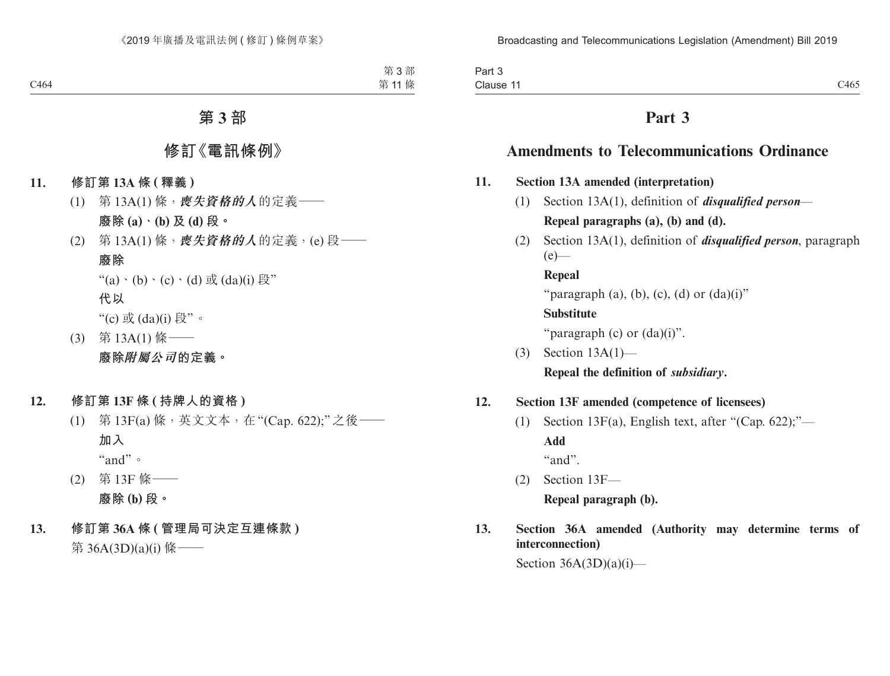| Part 3   |      |
|----------|------|
| Clause 1 | C465 |

# **Part 3**

# **Amendments to Telecommunications Ordinance**

- **11. Section 13A amended (interpretation)**
	- (1) Section 13A(1), definition of *disqualified person* **Repeal paragraphs (a), (b) and (d).**
	- (2) Section 13A(1), definition of *disqualified person*, paragraph  $(e)$ —

**Repeal** "paragraph (a), (b), (c), (d) or  $(da)(i)$ " **Substitute** "paragraph  $(c)$  or  $(da)(i)$ ".

(3) Section 13A(1)— **Repeal the definition of** *subsidiary***.**

#### **12. Section 13F amended (competence of licensees)**

(1) Section 13 $F(a)$ , English text, after "(Cap. 622);"— **Add**

"and".

- (2) Section 13F— **Repeal paragraph (b).**
- **13. Section 36A amended (Authority may determine terms of interconnection)**

Section  $36A(3D)(a)(i)$ —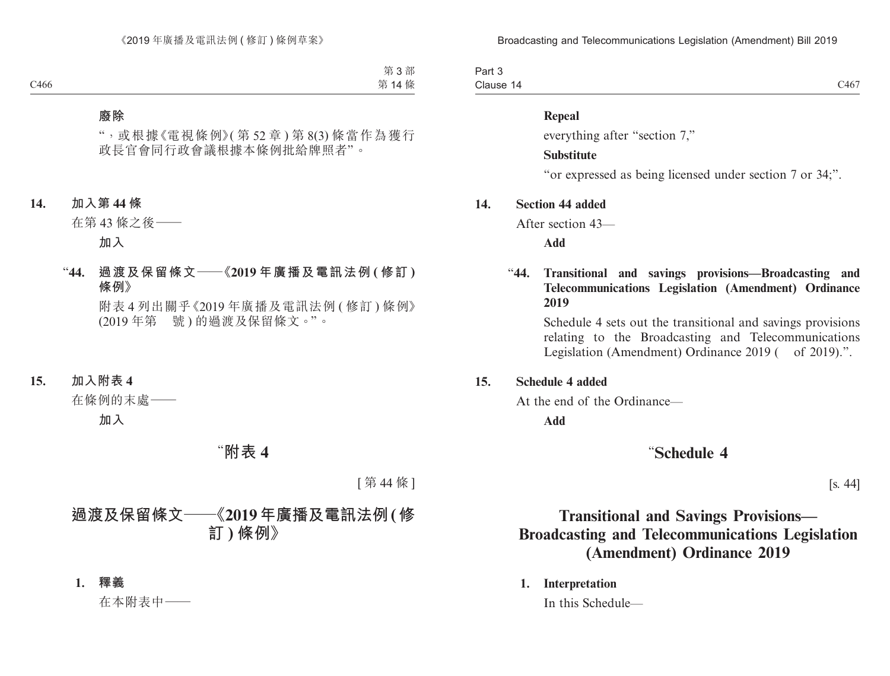Part 3 Clause 14 Clause 14  $C467$ 

#### **Repeal**

everything after "section 7,"

#### **Substitute**

"or expressed as being licensed under section 7 or 34;".

#### **14. Section 44 added**

After section 43—

**Add**

# "**44. Transitional and savings provisions—Broadcasting and Telecommunications Legislation (Amendment) Ordinance 2019**

Schedule 4 sets out the transitional and savings provisions relating to the Broadcasting and Telecommunications Legislation (Amendment) Ordinance 2019 ( of 2019).".

#### **15. Schedule 4 added**

At the end of the Ordinance—

**Add**

# "**Schedule 4**

[s. 44]

# **Transitional and Savings Provisions— Broadcasting and Telecommunications Legislation (Amendment) Ordinance 2019**

**1. Interpretation**

In this Schedule—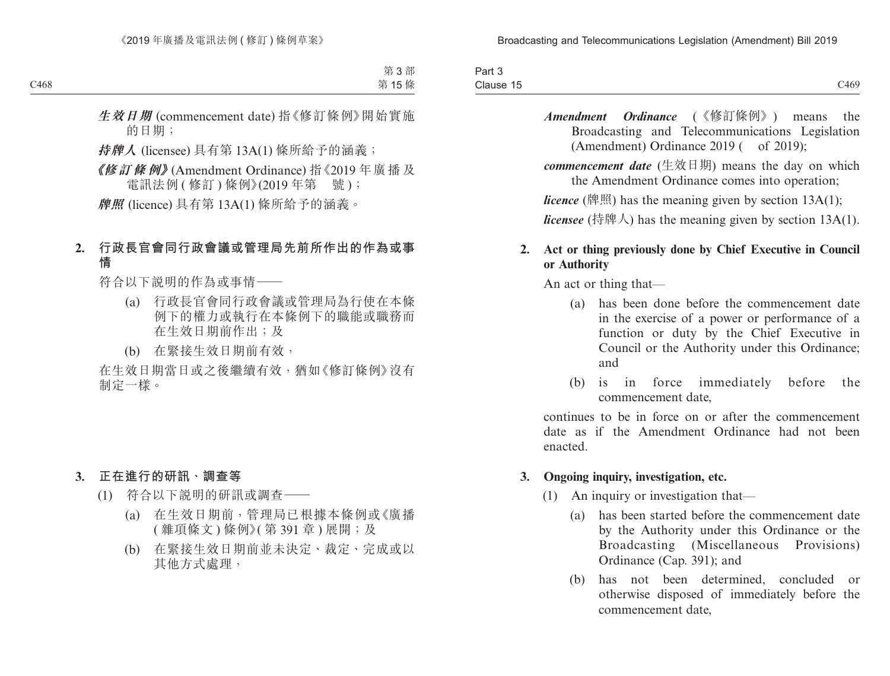| $\sim$<br>$\sim$<br>Part 3 |                  |
|----------------------------|------------------|
| Clause 15                  | C <sub>469</sub> |

*Amendment Ordinance* (《修訂條例》) means the Broadcasting and Telecommunications Legislation (Amendment) Ordinance  $2019$  ( of  $2019$ );

*commencement date* (生效日期) means the day on which the Amendment Ordinance comes into operation;

*licence* (牌照) has the meaning given by section 13A(1);

*licensee* (持牌人) has the meaning given by section 13A(1).

## **2. Act or thing previously done by Chief Executive in Council or Authority**

An act or thing that—

- (a) has been done before the commencement date in the exercise of a power or performance of a function or duty by the Chief Executive in Council or the Authority under this Ordinance; and
- (b) is in force immediately before the commencement date,

continues to be in force on or after the commencement date as if the Amendment Ordinance had not been enacted.

## **3. Ongoing inquiry, investigation, etc.**

- (1) An inquiry or investigation that—
	- (a) has been started before the commencement date by the Authority under this Ordinance or the Broadcasting (Miscellaneous Provisions) Ordinance (Cap. 391); and
	- (b) has not been determined, concluded or otherwise disposed of immediately before the commencement date,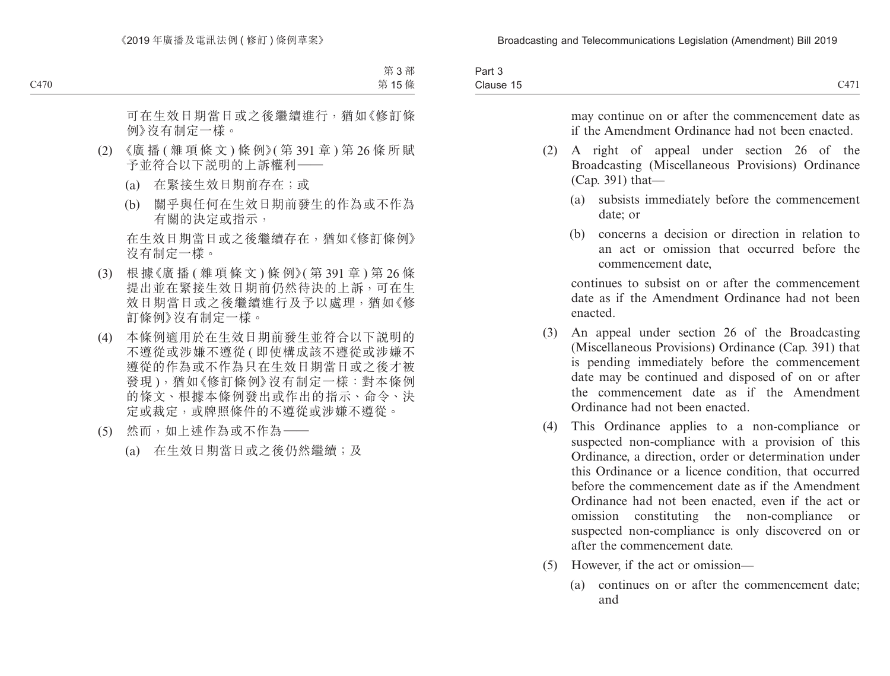| $\overline{\phantom{0}}$<br>Part 3    |      |
|---------------------------------------|------|
| $\bigcap_{n\geq 1}$<br>Clause 15<br>. | C147 |

may continue on or after the commencement date as if the Amendment Ordinance had not been enacted.

- (2) A right of appeal under section 26 of the Broadcasting (Miscellaneous Provisions) Ordinance (Cap. 391) that—
	- (a) subsists immediately before the commencement date; or
	- (b) concerns a decision or direction in relation to an act or omission that occurred before the commencement date,

continues to subsist on or after the commencement date as if the Amendment Ordinance had not been enacted.

- (3) An appeal under section 26 of the Broadcasting (Miscellaneous Provisions) Ordinance (Cap. 391) that is pending immediately before the commencement date may be continued and disposed of on or after the commencement date as if the Amendment Ordinance had not been enacted.
- (4) This Ordinance applies to a non-compliance or suspected non-compliance with a provision of this Ordinance, a direction, order or determination under this Ordinance or a licence condition, that occurred before the commencement date as if the Amendment Ordinance had not been enacted, even if the act or omission constituting the non-compliance or suspected non-compliance is only discovered on or after the commencement date.
- (5) However, if the act or omission—
	- (a) continues on or after the commencement date; and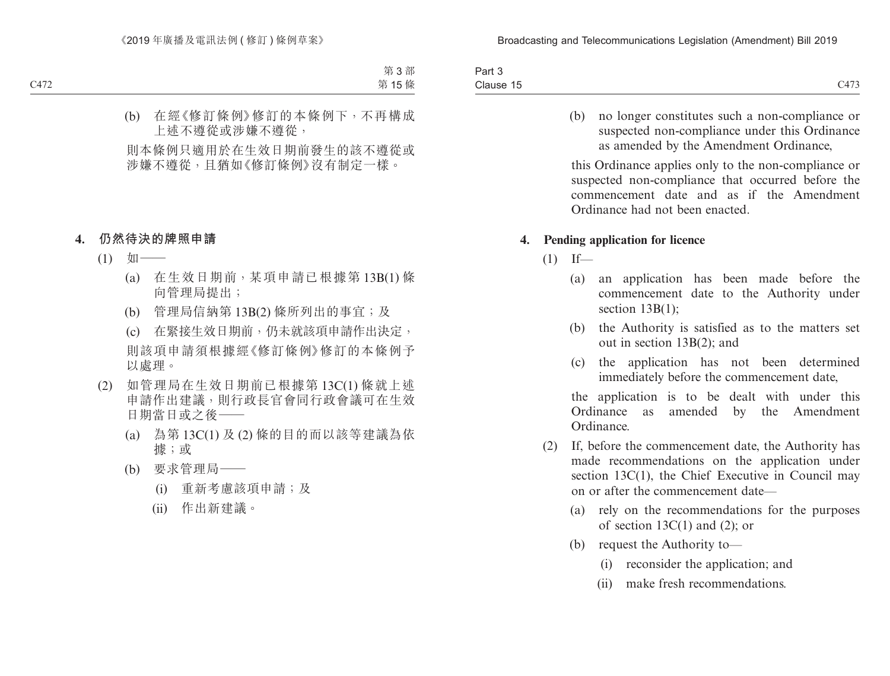| Part 3    |                                                      |
|-----------|------------------------------------------------------|
| Clause 15 | $\bigcap$ $\bigcap$<br>. .<br>$\sim$<br><u>- 115</u> |

(b) no longer constitutes such a non-compliance or suspected non-compliance under this Ordinance as amended by the Amendment Ordinance,

this Ordinance applies only to the non-compliance or suspected non-compliance that occurred before the commencement date and as if the Amendment Ordinance had not been enacted.

#### **4. Pending application for licence**

- $(1)$  If—
	- (a) an application has been made before the commencement date to the Authority under section 13B(1);
	- (b) the Authority is satisfied as to the matters set out in section 13B(2); and
	- (c) the application has not been determined immediately before the commencement date,

the application is to be dealt with under this Ordinance as amended by the Amendment Ordinance.

- (2) If, before the commencement date, the Authority has made recommendations on the application under section 13C(1), the Chief Executive in Council may on or after the commencement date—
	- (a) rely on the recommendations for the purposes of section  $13C(1)$  and  $(2)$ ; or
	- (b) request the Authority to—
		- (i) reconsider the application; and
		- (ii) make fresh recommendations.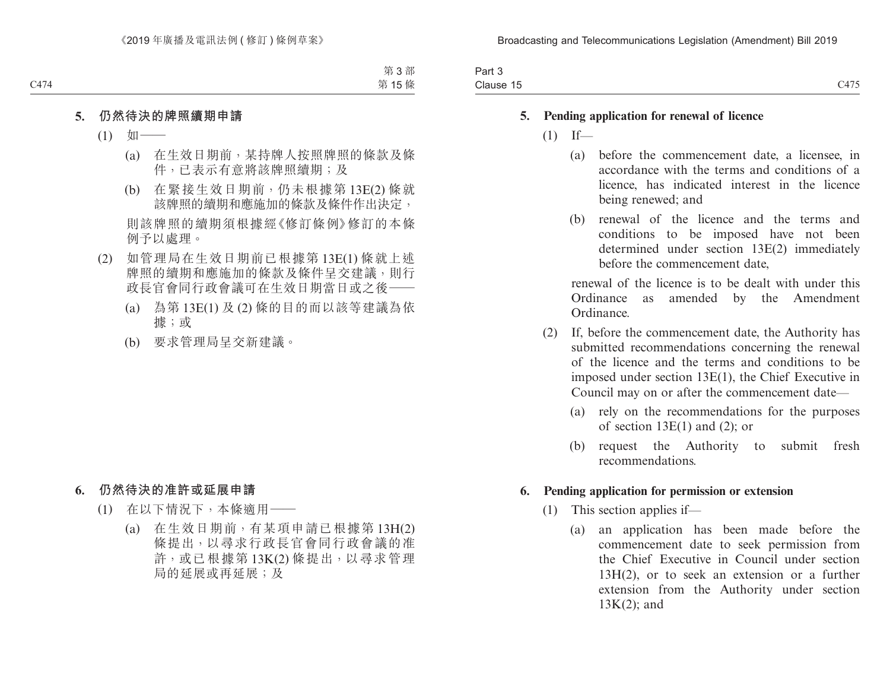| $-$<br>$. \,$<br>-ail J |                                         |
|-------------------------|-----------------------------------------|
| $\sim$<br>Clause 15     | $\sim$ 4 $\sim$<br>$\sim$<br>$\sim$ 115 |

#### **5. Pending application for renewal of licence**

- $(1)$  If—
	- (a) before the commencement date, a licensee, in accordance with the terms and conditions of a licence, has indicated interest in the licence being renewed; and
	- (b) renewal of the licence and the terms and conditions to be imposed have not been determined under section 13E(2) immediately before the commencement date,

renewal of the licence is to be dealt with under this Ordinance as amended by the Amendment Ordinance.

- (2) If, before the commencement date, the Authority has submitted recommendations concerning the renewal of the licence and the terms and conditions to be imposed under section 13E(1), the Chief Executive in Council may on or after the commencement date—
	- (a) rely on the recommendations for the purposes of section  $13E(1)$  and  $(2)$ ; or
	- (b) request the Authority to submit fresh recommendations.

#### **6. Pending application for permission or extension**

- (1) This section applies if—
	- (a) an application has been made before the commencement date to seek permission from the Chief Executive in Council under section 13H(2), or to seek an extension or a further extension from the Authority under section 13K(2); and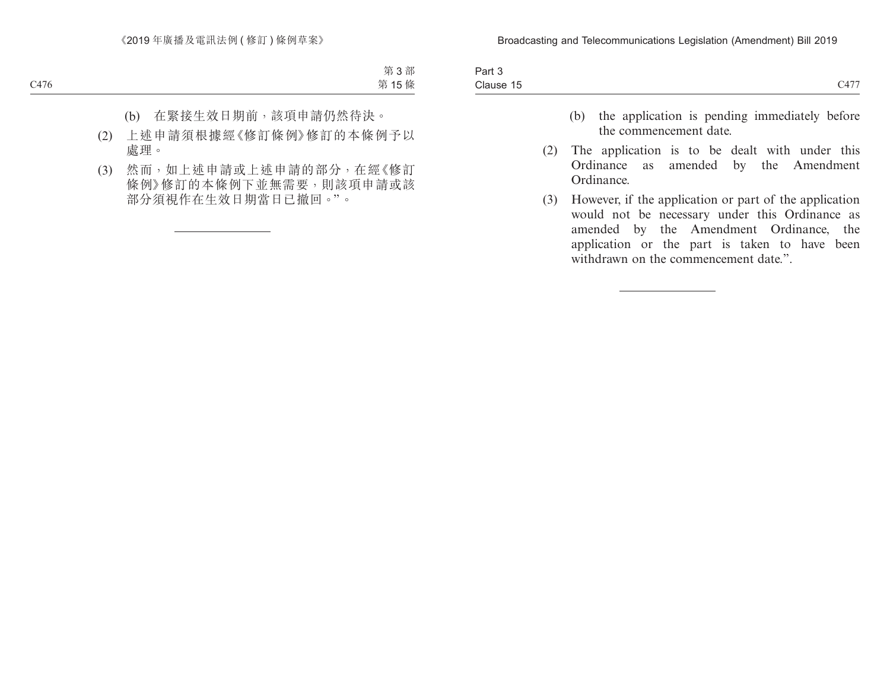| <b>STATES OF ALL AND RESIDENTS</b><br>$\overline{\phantom{a}}$<br>Part 3 |                   |
|--------------------------------------------------------------------------|-------------------|
| -<br>Clause 15                                                           | C1.77<br><u>_</u> |

- (b) the application is pending immediately before the commencement date.
- (2) The application is to be dealt with under this Ordinance as amended by the Amendment Ordinance.
- (3) However, if the application or part of the application would not be necessary under this Ordinance as amended by the Amendment Ordinance, the application or the part is taken to have been withdrawn on the commencement date.".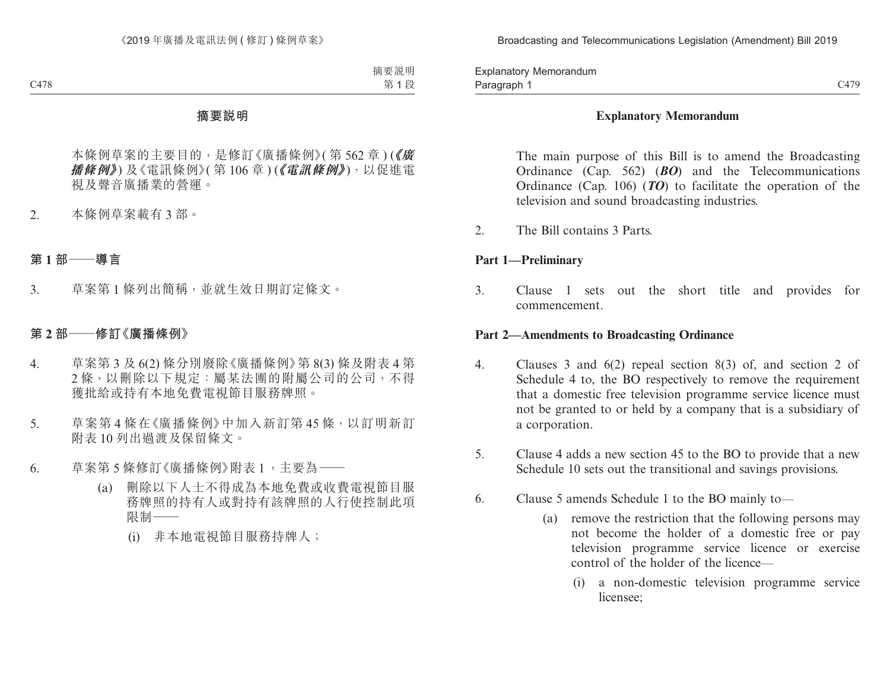Paragraph 1 and 2008 C479 Explanatory Memorandum Paragraph 1

### **Explanatory Memorandum**

The main purpose of this Bill is to amend the Broadcasting Ordinance (Cap. 562) (*BO*) and the Telecommunications Ordinance (Cap. 106) (*TO*) to facilitate the operation of the television and sound broadcasting industries.

2. The Bill contains 3 Parts.

### **Part 1—Preliminary**

3. Clause 1 sets out the short title and provides for commencement.

### **Part 2—Amendments to Broadcasting Ordinance**

- 4. Clauses 3 and 6(2) repeal section 8(3) of, and section 2 of Schedule 4 to, the BO respectively to remove the requirement that a domestic free television programme service licence must not be granted to or held by a company that is a subsidiary of a corporation.
- 5. Clause 4 adds a new section 45 to the BO to provide that a new Schedule 10 sets out the transitional and savings provisions.
- 6. Clause 5 amends Schedule 1 to the BO mainly to—
	- (a) remove the restriction that the following persons may not become the holder of a domestic free or pay television programme service licence or exercise control of the holder of the licence—
		- (i) a non-domestic television programme service licensee;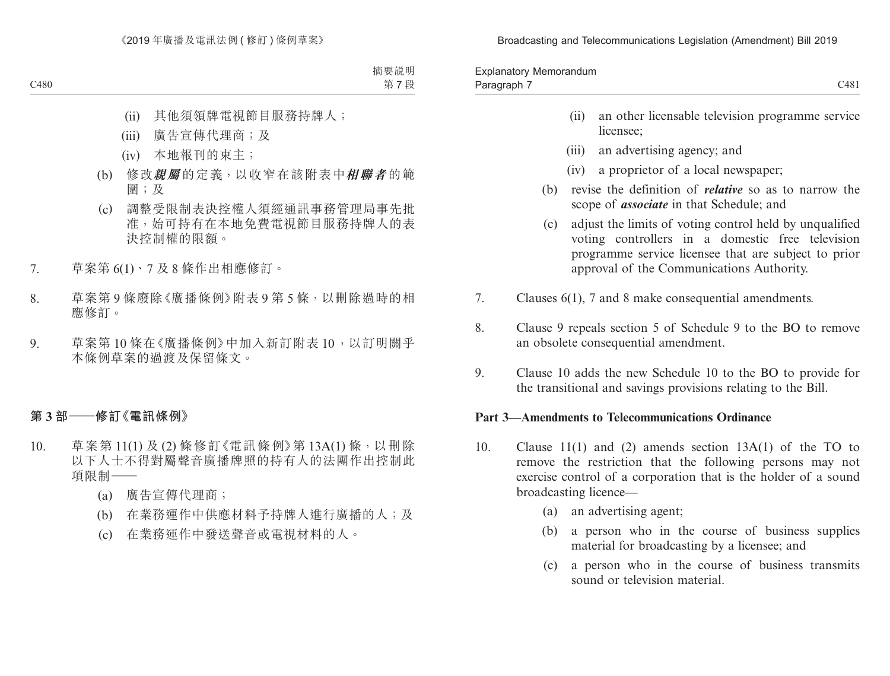Broadcasting and Telecommunications Legislation (Amendment) Bill 2019

| Memorandum<br>Explanatory |      |
|---------------------------|------|
| Paragraph                 | C481 |

- (ii) an other licensable television programme service licensee;
- (iii) an advertising agency; and
- (iv) a proprietor of a local newspaper;
- (b) revise the definition of *relative* so as to narrow the scope of *associate* in that Schedule; and
- (c) adjust the limits of voting control held by unqualified voting controllers in a domestic free television programme service licensee that are subject to prior approval of the Communications Authority.
- 7. Clauses 6(1), 7 and 8 make consequential amendments.
- 8. Clause 9 repeals section 5 of Schedule 9 to the BO to remove an obsolete consequential amendment.
- 9. Clause 10 adds the new Schedule 10 to the BO to provide for the transitional and savings provisions relating to the Bill.

## **Part 3—Amendments to Telecommunications Ordinance**

- 10. Clause 11(1) and (2) amends section 13A(1) of the TO to remove the restriction that the following persons may not exercise control of a corporation that is the holder of a sound broadcasting licence—
	- (a) an advertising agent;
	- (b) a person who in the course of business supplies material for broadcasting by a licensee; and
	- (c) a person who in the course of business transmits sound or television material.